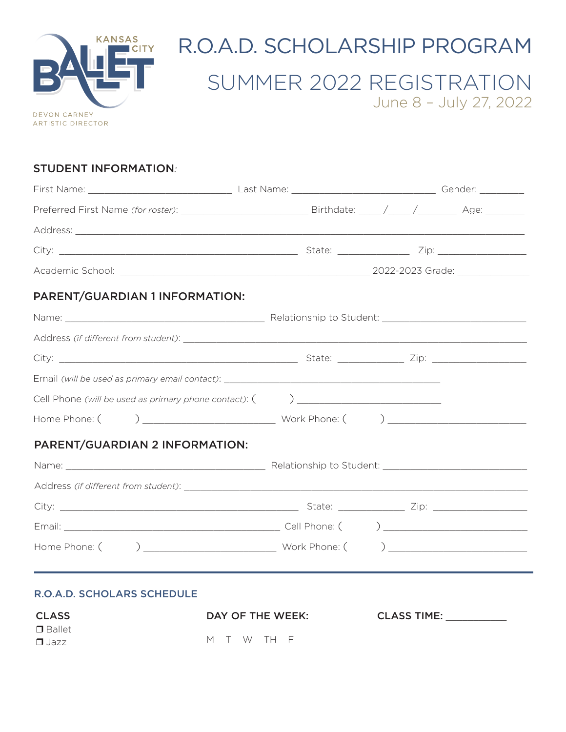

# R.O.A.D. SCHOLARSHIP PROGRAM

# SUMMER 2022 REGISTRATION June 8 – July 27, 2022

### STUDENT INFORMATION*:*

| PARENT/GUARDIAN 1 INFORMATION: |  |  |  |
|--------------------------------|--|--|--|
|                                |  |  |  |
|                                |  |  |  |
|                                |  |  |  |
|                                |  |  |  |
|                                |  |  |  |
|                                |  |  |  |
| PARENT/GUARDIAN 2 INFORMATION: |  |  |  |
|                                |  |  |  |
|                                |  |  |  |
|                                |  |  |  |
|                                |  |  |  |
|                                |  |  |  |
|                                |  |  |  |

### R.O.A.D. SCHOLARS SCHEDULE

| <b>CLASS</b>  | DAY OF THE WEEK: | <b>CLASS TIME:</b> |
|---------------|------------------|--------------------|
| $\Box$ Ballet |                  |                    |
| $\Box$ Jazz   | M T W TH F       |                    |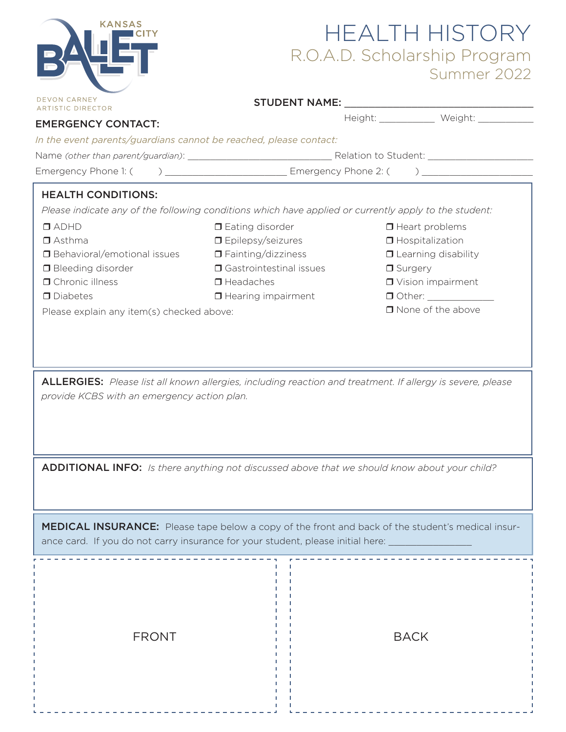| <b>KANSAS</b><br><b>DEVON CARNEY</b><br><b>ARTISTIC DIRECTOR</b><br><b>EMERGENCY CONTACT:</b><br>In the event parents/guardians cannot be reached, please contact:                                                   | <b>HEALTH HISTORY</b><br>R.O.A.D. Scholarship Program<br>Summer 2022<br>Height: _____________ Weight: ___________                                                                                                                                                                                                                                                                                                                            |  |  |  |
|----------------------------------------------------------------------------------------------------------------------------------------------------------------------------------------------------------------------|----------------------------------------------------------------------------------------------------------------------------------------------------------------------------------------------------------------------------------------------------------------------------------------------------------------------------------------------------------------------------------------------------------------------------------------------|--|--|--|
|                                                                                                                                                                                                                      |                                                                                                                                                                                                                                                                                                                                                                                                                                              |  |  |  |
|                                                                                                                                                                                                                      |                                                                                                                                                                                                                                                                                                                                                                                                                                              |  |  |  |
| <b>HEALTH CONDITIONS:</b><br>$\Box$ ADHD<br>$\Box$ Asthma<br>□ Behavioral/emotional issues<br><b>O</b> Bleeding disorder<br><b>O</b> Chronic illness<br>$\Box$ Diabetes<br>Please explain any item(s) checked above: | Please indicate any of the following conditions which have applied or currently apply to the student:<br>$\Box$ Eating disorder<br>$\Box$ Heart problems<br>$\Box$ Epilepsy/seizures<br>$\Box$ Hospitalization<br>$\Box$ Fainting/dizziness<br><b>O</b> Learning disability<br><b>O</b> Gastrointestinal issues<br>$\Box$ Surgery<br>$\Box$ Headaches<br><b>D</b> Vision impairment<br>$\Box$ Hearing impairment<br>$\Box$ None of the above |  |  |  |
| provide KCBS with an emergency action plan.                                                                                                                                                                          | <b>ALLERGIES:</b> Please list all known allergies, including reaction and treatment. If allergy is severe, please                                                                                                                                                                                                                                                                                                                            |  |  |  |
|                                                                                                                                                                                                                      | ADDITIONAL INFO: Is there anything not discussed above that we should know about your child?                                                                                                                                                                                                                                                                                                                                                 |  |  |  |
| <b>MEDICAL INSURANCE:</b> Please tape below a copy of the front and back of the student's medical insur-<br>ance card. If you do not carry insurance for your student, please initial here:                          |                                                                                                                                                                                                                                                                                                                                                                                                                                              |  |  |  |

FRONT HILL BACK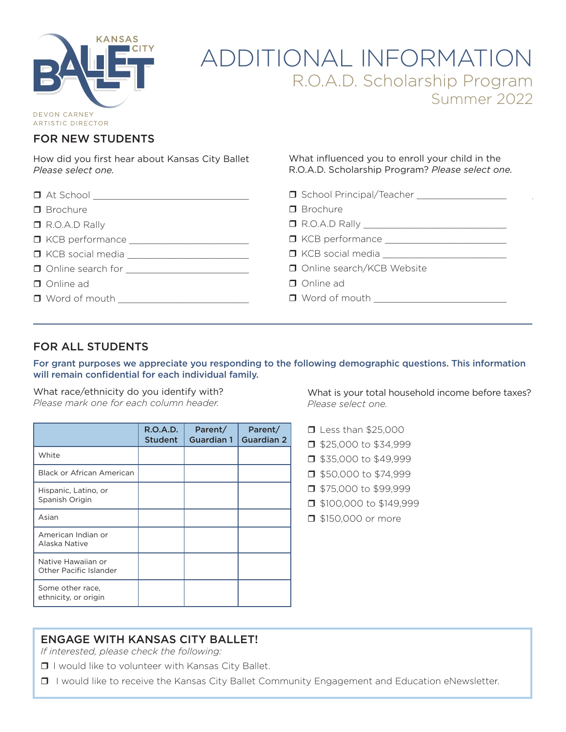

# ADDITIONAL INFORMATION R.O.A.D. Scholarship Program Summer 2022

**ARTISTIC DIRECTOR** 

### FOR NEW STUDENTS

How did you first hear about Kansas City Ballet? *Please select one.*

What influenced you to enroll your child in the R.O.A.D. Scholarship Program? *Please select one.*

| $\Box$ At School $\Box$  | School Principal/Teacher ___________________ |  |
|--------------------------|----------------------------------------------|--|
| $\Box$ Brochure          | $\Box$ Brochure                              |  |
| $\Box$ R.O.A.D Rally     |                                              |  |
|                          |                                              |  |
|                          |                                              |  |
| $\Box$ Online search for | Online search/KCB Website                    |  |
| Online ad                | Online ad                                    |  |
| $\Box$ Word of mouth     | $\Box$ Word of mouth                         |  |

### FOR ALL STUDENTS

For grant purposes we appreciate you responding to the following demographic questions. This information will remain confidential for each individual family.

What race/ethnicity do you identify with? *Please mark one for each column header.*

|                                                     | <b>R.O.A.D.</b><br><b>Student</b> | Parent/<br><b>Guardian 1</b> | Parent/<br><b>Guardian 2</b> |
|-----------------------------------------------------|-----------------------------------|------------------------------|------------------------------|
| White                                               |                                   |                              |                              |
| Black or African American                           |                                   |                              |                              |
| Hispanic, Latino, or<br>Spanish Origin              |                                   |                              |                              |
| Asian                                               |                                   |                              |                              |
| American Indian or<br>Alaska Native                 |                                   |                              |                              |
| Native Hawaiian or<br><b>Other Pacific Islander</b> |                                   |                              |                              |
| Some other race,<br>ethnicity, or origin            |                                   |                              |                              |

What is your total household income before taxes? *Please select one.*

- rLess than \$25,000
- r\$25,000 to \$34,999
- r\$35,000 to \$49,999
- r\$50,000 to \$74,999
- r\$75,000 to \$99,999
- $\Box$  \$100,000 to \$149,999
- **1** \$150,000 or more

### ENGAGE WITH KANSAS CITY BALLET!

*If interested, please check the following:* 

 $\Box$  I would like to volunteer with Kansas City Ballet.

□ I would like to receive the Kansas City Ballet Community Engagement and Education eNewsletter.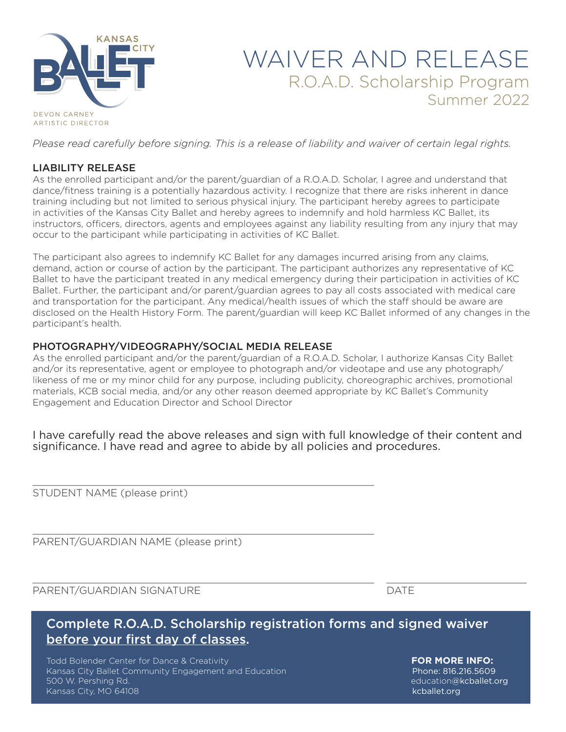

# WAIVER AND RELEASE R.O.A.D. Scholarship Program Summer 2022

*Please read carefully before signing. This is a release of liability and waiver of certain legal rights.*

### LIABILITY RELEASE

As the enrolled participant and/or the parent/guardian of a R.O.A.D. Scholar, I agree and understand that dance/fitness training is a potentially hazardous activity. I recognize that there are risks inherent in dance training including but not limited to serious physical injury. The participant hereby agrees to participate in activities of the Kansas City Ballet and hereby agrees to indemnify and hold harmless KC Ballet, its instructors, officers, directors, agents and employees against any liability resulting from any injury that may occur to the participant while participating in activities of KC Ballet.

The participant also agrees to indemnify KC Ballet for any damages incurred arising from any claims, demand, action or course of action by the participant. The participant authorizes any representative of KC Ballet to have the participant treated in any medical emergency during their participation in activities of KC Ballet. Further, the participant and/or parent/guardian agrees to pay all costs associated with medical care and transportation for the participant. Any medical/health issues of which the staff should be aware are disclosed on the Health History Form. The parent/guardian will keep KC Ballet informed of any changes in the participant's health.

### PHOTOGRAPHY/VIDEOGRAPHY/SOCIAL MEDIA RELEASE

\_\_\_\_\_\_\_\_\_\_\_\_\_\_\_\_\_\_\_\_\_\_\_\_\_\_\_\_\_\_\_\_\_\_\_\_\_\_\_\_\_\_\_\_\_\_\_\_\_\_\_\_\_\_\_\_

\_\_\_\_\_\_\_\_\_\_\_\_\_\_\_\_\_\_\_\_\_\_\_\_\_\_\_\_\_\_\_\_\_\_\_\_\_\_\_\_\_\_\_\_\_\_\_\_\_\_\_\_\_\_\_\_

As the enrolled participant and/or the parent/guardian of a R.O.A.D. Scholar, I authorize Kansas City Ballet and/or its representative, agent or employee to photograph and/or videotape and use any photograph/ likeness of me or my minor child for any purpose, including publicity, choreographic archives, promotional materials, KCB social media, and/or any other reason deemed appropriate by KC Ballet's Community Engagement and Education Director and School Director

I have carefully read the above releases and sign with full knowledge of their content and significance. I have read and agree to abide by all policies and procedures.

STUDENT NAME (please print)

PARENT/GUARDIAN NAME (please print)

PARENT/GUARDIAN SIGNATURE **Example 2018** DATE

## Complete R.O.A.D. Scholarship registration forms and signed waiver before your first day of classes.

 $\_$  ,  $\_$  ,  $\_$  ,  $\_$  ,  $\_$  ,  $\_$  ,  $\_$  ,  $\_$  ,  $\_$  ,  $\_$  ,  $\_$  ,  $\_$  ,  $\_$  ,  $\_$  ,  $\_$  ,  $\_$  ,  $\_$  ,  $\_$  ,  $\_$  ,  $\_$  ,  $\_$  ,  $\_$  ,  $\_$  ,  $\_$  ,  $\_$  ,  $\_$  ,  $\_$  ,  $\_$  ,  $\_$  ,  $\_$  ,  $\_$  ,  $\_$  ,  $\_$  ,  $\_$  ,  $\_$  ,  $\_$  ,  $\_$  ,

Todd Bolender Center for Dance & Creativity **FOR MORE INFO:** Kansas City Ballet Community Engagement and Education **Phone: 816.216.5609** Phone: 816.216.5609 500 W. Pershing Rd. education@kcballet.org Kansas City, MO 64108 kcballet.org & Annual Extensive City, MO 64108 kcballet.org